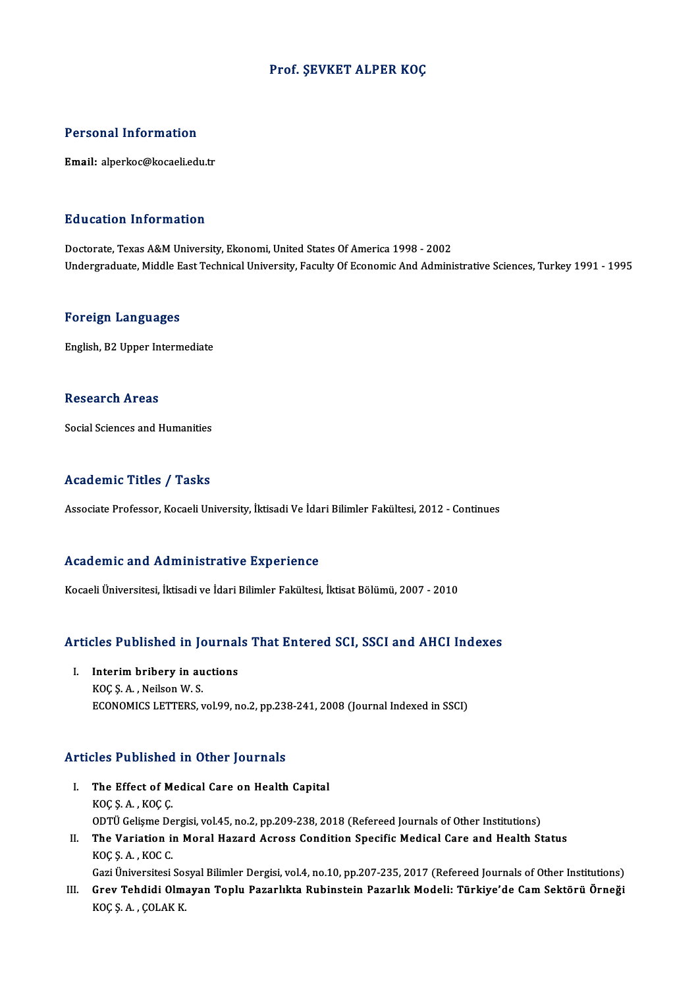#### Prof. ŞEVKET ALPER KOÇ

#### Personal Information

Email: alperkoc@kocaeli.edu.tr

#### Education Information

Doctorate, Texas A&M University, Ekonomi, United States Of America 1998 - 2002 Undergraduate, Middle East Technical University, Faculty Of Economic And Administrative Sciences, Turkey 1991 - 1995

#### Foreign Languages

English,B2Upper Intermediate

#### Research Areas

Social Sciences and Humanities

#### Academic Titles / Tasks

Associate Professor, Kocaeli University, İktisadi Ve İdari Bilimler Fakültesi, 2012 - Continues

#### Academic and Administrative Experience

Kocaeli Üniversitesi, İktisadi ve İdari Bilimler Fakültesi, İktisat Bölümü, 2007 - 2010

# Kocaell Universitesi, iktisadi ve idari Bilimler Fakuitesi, iktisat Bolumu, 2007 - 2010<br>Articles Published in Journals That Entered SCI, SSCI and AHCI Indexes

rticles Published in Journal<br>I. Interim bribery in auctions<br>KOCS A. Naikan W.S. I. Interim bribery in auctions<br>KOÇ Ş.A., Neilson W.S.

ECONOMICS LETTERS, vol.99, no.2, pp.238-241, 2008 (Journal Indexed in SSCI)

#### Articles Published in Other Journals

rticles Published in Other Journals<br>I. The Effect of Medical Care on Health Capital<br>KOC S.A., KOC C The Effect of M<br>KOÇ Ş. A. , KOÇ Ç.<br>ODTÜ Celisma Da KOÇ Ş. A. , KOÇ Ç.<br>ODTÜ Gelişme Dergisi, vol.45, no.2, pp.209-238, 2018 (Refereed Journals of Other Institutions) KOÇ Ş. A. , KOÇ Ç.<br>ODTÜ Gelişme Dergisi, vol.45, no.2, pp.209-238, 2018 (Refereed Journals of Other Institutions)<br>II. The Variation in Moral Hazard Across Condition Specific Medical Care and Health Status<br>KOC S. A. KOC C ODTÜ Gelişme De<br>The Variation in<br>KOÇ Ş. A. , KOC C.<br>Ceri Üniversitesi

The Variation in Moral Hazard Across Condition Specific Medical Care and Health Status<br>KOÇ Ş. A. , KOC C.<br>Gazi Üniversitesi Sosyal Bilimler Dergisi, vol.4, no.10, pp.207-235, 2017 (Refereed Journals of Other Institutions)<br> KOÇ Ş. A. , KOC C.<br>Gazi Üniversitesi Sosyal Bilimler Dergisi, vol.4, no.10, pp.207-235, 2017 (Refereed Journals of Other Institutions)<br>III. Grev Tehdidi Olmayan Toplu Pazarlıkta Rubinstein Pazarlık Modeli: Türkiye'de Cam S

Gazi Üniversitesi So:<br><mark>Grev Tehdidi Olm</mark><br>KOÇ Ş. A. , ÇOLAK K.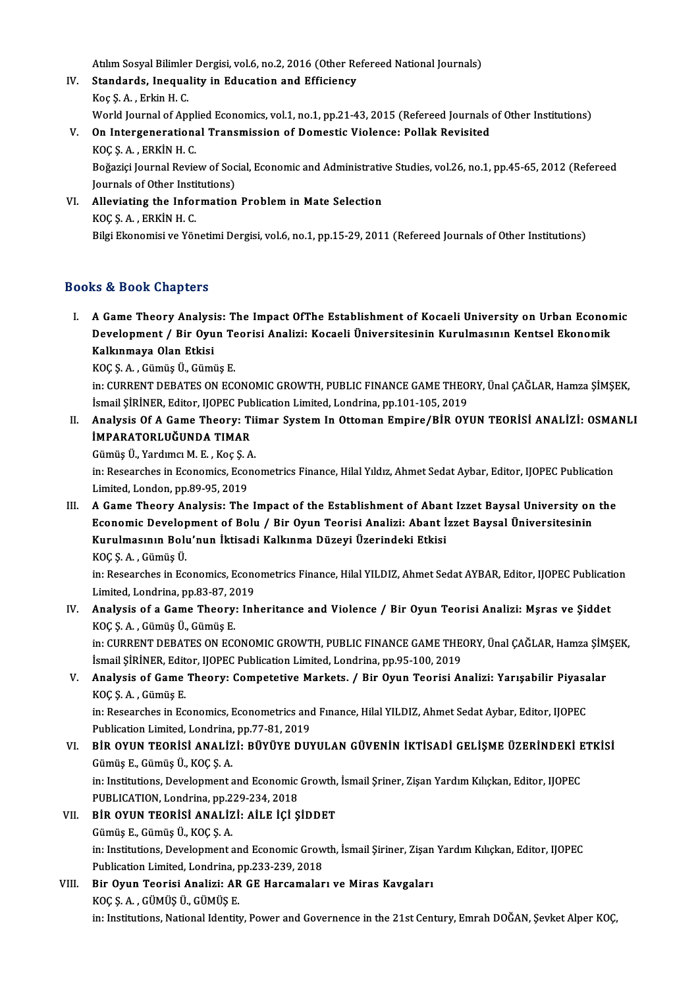Atılım Sosyal Bilimler Dergisi, vol.6, no.2, 2016 (Other Refereed National Journals)<br>Standarda, Inoquality in Education and Efficianey

- IV. Standards, Inequality in Education and Efficiency Atılım Sosyal Bilimler<br><mark>Standards, Inequa</mark><br>Koç Ş. A. , Erkin H. C.<br>World Journal of An Standards, Inequality in Education and Efficiency<br>Koç Ş. A. , Erkin H. C.<br>World Journal of Applied Economics, vol.1, no.1, pp.21-43, 2015 (Refereed Journals of Other Institutions)<br>On Interseperational Transmission of Domes
- V. On Intergenerational Transmission of Domestic Violence: Pollak Revisited KOC S. A., ERKIN H. C. World Journal of Appl<br>**On Intergeneration:**<br>KOÇ Ş. A. , ERKİN H. C.<br>Poğarisi Journal Pavio On Intergenerational Transmission of Domestic Violence: Pollak Revisited<br>KOÇ Ş. A. , ERKİN H. C.<br>Boğaziçi Journal Review of Social, Economic and Administrative Studies, vol.26, no.1, pp.45-65, 2012 (Refereed<br>Journals of Ot KOÇ Ş. A. , ERKİN H. C.<br>Boğaziçi Journal Review of Soc<br>Journals of Other Institutions)<br>Allouisting the Information

Journals of Other Institutions)<br>VI. Alleviating the Information Problem in Mate Selection

KOÇŞ.A. ,ERKİNH.C.

Bilgi Ekonomisi ve Yönetimi Dergisi, vol.6, no.1, pp.15-29, 2011 (Refereed Journals of Other Institutions)

#### Books&Book Chapters

I. A Game Theory Analysis: The Impact OfThe Establishment of Kocaeli University on Urban Economic to & Book Ghaptors<br>A Game Theory Analysis: The Impact OfThe Establishment of Kocaeli University on Urban Econon<br>Development / Bir Oyun Teorisi Analizi: Kocaeli Üniversitesinin Kurulmasının Kentsel Ekonomik<br>Kalkınmava Olan A Game Theory Analysi<br>Development / Bir Oyu<br>Kalkınmaya Olan Etkisi<br><sup>KOC S.A.</sup> Cümüs Ü. Cümi Development / Bir Oyun Te<br>Kalkınmaya Olan Etkisi<br>KOÇ Ş. A. , Gümüş Ü., Gümüş E.<br>in: CUPPENT DEPATES ON ECC

Kalkınmaya Olan Etkisi<br>KOÇ Ş. A. , Gümüş Ü., Gümüş E.<br>in: CURRENT DEBATES ON ECONOMIC GROWTH, PUBLIC FINANCE GAME THEORY, Ünal ÇAĞLAR, Hamza ŞİMŞEK,<br>İsmail SİPİNER, Fditar, HOBEC Publication Limited, Londrina, pp.101,105, KOÇ Ş. A. , Gümüş Ü., Gümüş E.<br>in: CURRENT DEBATES ON ECONOMIC GROWTH, PUBLIC FINANCE GAME THEO<br>İsmail ŞİRİNER, Editor, IJOPEC Publication Limited, Londrina, pp.101-105, 2019<br>Analysis Of A Came Theory: Tijmar System In Ott in: CURRENT DEBATES ON ECONOMIC GROWTH, PUBLIC FINANCE GAME THEORY, Ünal ÇAĞLAR, Hamza ŞİMŞEK,<br>Ismail ŞİRİNER, Editor, IJOPEC Publication Limited, Londrina, pp.101-105, 2019<br>II. Analysis Of A Game Theory: Tiimar System In

İsmail ŞİRİNER, Editor, IJOPEC Pub<br>Analysis Of A Game Theory: Ti<br>İMPARATORLUĞUNDA TIMAR Analysis Of A Game Theory: Tii<br>İMPARATORLUĞUNDA TIMAR<br>Gümüş Ü., Yardımcı M. E. , Koç Ş. A.<br>in: Pessanshas in Feanamics Feana İMPARATORLUĞUNDA TIMAR<br>Gümüş Ü., Yardımcı M. E. , Koç Ş. A.<br>in: Researches in Economics, Econometrics Finance, Hilal Yıldız, Ahmet Sedat Aybar, Editor, IJOPEC Publication

Limited, London, pp.89-95, 2019 In: Researches in Economics, Econometrics Finance, Hilal Yıldız, Ahmet Sedat Aybar, Editor, IJOPEC Publication<br>Limited, London, pp.89-95, 2019<br>III. A Game Theory Analysis: The Impact of the Establishment of Abant Izzet Bay

Limited, London, pp.89-95, 2019<br>A Game Theory Analysis: The Impact of the Establishment of Abant Izzet Baysal University on<br>Economic Development of Bolu / Bir Oyun Teorisi Analizi: Abant İzzet Baysal Üniversitesinin<br>Kunulm Economic Development of Bolu / Bir Oyun Teorisi Analizi: Abant İzzet Baysal Üniversitesinin<br>Kurulmasının Bolu'nun İktisadi Kalkınma Düzeyi Üzerindeki Etkisi

KOÇŞ.A. ,GümüşÜ.

Kurulmasının Bolu'nun İktisadi Kalkınma Düzeyi Üzerindeki Etkisi<br>KOÇ Ş. A. , Gümüş Ü.<br>in: Researches in Economics, Econometrics Finance, Hilal YILDIZ, Ahmet Sedat AYBAR, Editor, IJOPEC Publication<br>Limited Londrina, np.93,9 KOÇ Ş. A. , Gümüş Ü.<br>in: Researches in Economics, Econo<br>Limited, Londrina, pp.83-87, 2019 in: Researches in Economics, Econometrics Finance, Hilal YILDIZ, Ahmet Sedat AYBAR, Editor, IJOPEC Publicati<br>Limited, Londrina, pp.83-87, 2019<br>IV. Analysis of a Game Theory: Inheritance and Violence / Bir Oyun Teorisi Anal

## Limited, Londrina, pp.83-87, 2<br>**Analysis of a Game Theory**<br>KOÇ Ş. A. , Gümüş Ü., Gümüş E.<br>in: CUPPENT DEPATES ON ECC Analysis of a Game Theory: Inheritance and Violence / Bir Oyun Teorisi Analizi: Mşras ve Şiddet<br>KOÇ Ş. A. , Gümüş Ü., Gümüş E.<br>in: CURRENT DEBATES ON ECONOMIC GROWTH, PUBLIC FINANCE GAME THEORY, Ünal ÇAĞLAR, Hamza ŞİMŞEK,<br>

KOÇ Ş. A. , Gümüş Ü., Gümüş E.<br>in: CURRENT DEBATES ON ECONOMIC GROWTH, PUBLIC FINANCE GAME THE<br>İsmail ŞİRİNER, Editor, IJOPEC Publication Limited, Londrina, pp.95-100, 2019<br>Analysis of Came Theory: Competative Markets, ...

### in: CURRENT DEBATES ON ECONOMIC GROWTH, PUBLIC FINANCE GAME THEORY, Ünal ÇAĞLAR, Hamza ŞİMŞEK,<br>İsmail ŞİRİNER, Editor, IJOPEC Publication Limited, Londrina, pp.95-100, 2019<br>V. Analysis of Game Theory: Competetive Markets. Ismail ŞİRİNER, Edit<br>Analysis of Game<br>KOÇ Ş. A. , Gümüş E.<br>in: Pessarshes in Fe Analysis of Game Theory: Competetive Markets. / Bir Oyun Teorisi Analizi: Yarışabilir Piyasa<br>KOÇ Ş. A. , Gümüş E.<br>in: Researches in Economics, Econometrics and Fınance, Hilal YILDIZ, Ahmet Sedat Aybar, Editor, IJOPEC<br>Publi

ROÇ Ș. A. , Gümüş E.<br>in: Researches in Economics, Econometrics and<br>Publication Limited, Londrina, pp.77-81, 2019<br>PUP OVUN TEORISI ANALIZI. PUVÜVE DUN in: Researches in Economics, Econometrics and Finance, Hilal YILDIZ, Ahmet Sedat Aybar, Editor, IJOPEC<br>Publication Limited, Londrina, pp.77-81, 2019<br>VI. BİR OYUN TEORİSİ ANALİZİ: BÜYÜYE DUYULAN GÜVENİN İKTİSADİ GELİŞME ÜZE

## Publication Limited, Londrina,<br>BİR OYUN TEORİSİ ANALİZ<br>Gümüş E., Gümüş Ü., KOÇ Ş. A. BİR OYUN TEORİSİ ANALİZİ: BÜYÜYE DUYULAN GÜVENİN İKTİSADİ GELİŞME ÜZERİNDEKİ E<br>Gümüş E., Gümüş Ü., KOÇ Ş. A.<br>in: Institutions, Development and Economic Growth, İsmail Şriner, Zişan Yardım Kılıçkan, Editor, IJOPEC<br>BURLICATI

Gümüş E., Gümüş Ü., KOÇ Ş. A.<br>in: Institutions, Development and Economic Growth, İsmail Şriner, Zişan Yardım Kılıçkan, Editor, IJOPEC<br>PUBLICATION, Londrina, pp.229-234, 2018 in: Institutions, Development and Economic Growth,<br>PUBLICATION, Londrina, pp.229-234, 2018<br>VII. BIR OYUN TEORISI ANALIZI: AILE IÇI ŞIDDET

- PUBLICATION, Londrina, pp.2<br>BİR OYUN TEORİSİ ANALİZ<br>Gümüş E., Gümüş Ü., KOÇ Ş. A.<br>in: Institutions, Develonment s BİR OYUN TEORİSİ ANALİZI: AİLE İÇİ ŞİDDET<br>Gümüş E., Gümüş Ü., KOÇ Ş. A.<br>in: Institutions, Development and Economic Growth, İsmail Şiriner, Zişan Yardım Kılıçkan, Editor, IJOPEC<br>Puhlisation Limited Londrine, np.222,220, 201 Gümüş E., Gümüş Ü., KOÇ Ş. A.<br>in: Institutions, Development and Economic Grow<br>Publication Limited, Londrina, pp.233-239, 2018<br>Bir Owun Teorisi Angliri: AB CE Horsemalar in: Institutions, Development and Economic Growth, İsmail Şiriner, Zişan<br>Publication Limited, Londrina, pp.233-239, 2018<br>VIII. Bir Oyun Teorisi Analizi: AR GE Harcamaları ve Miras Kavgaları<br>VOCS A. GÜMÜS Ü, GÜMÜS E
- Publication Limited, Londrina, p<br>Bir Oyun Teorisi Analizi: AR<br>KOÇ Ş.A., GÜMÜŞ Ü., GÜMÜŞ E.<br>in: Institutions National Identin KOÇ Ş. A. , GÜMÜŞ Ü., GÜMÜŞ E.<br>in: Institutions, National Identity, Power and Governence in the 21st Century, Emrah DOĞAN, Şevket Alper KOÇ,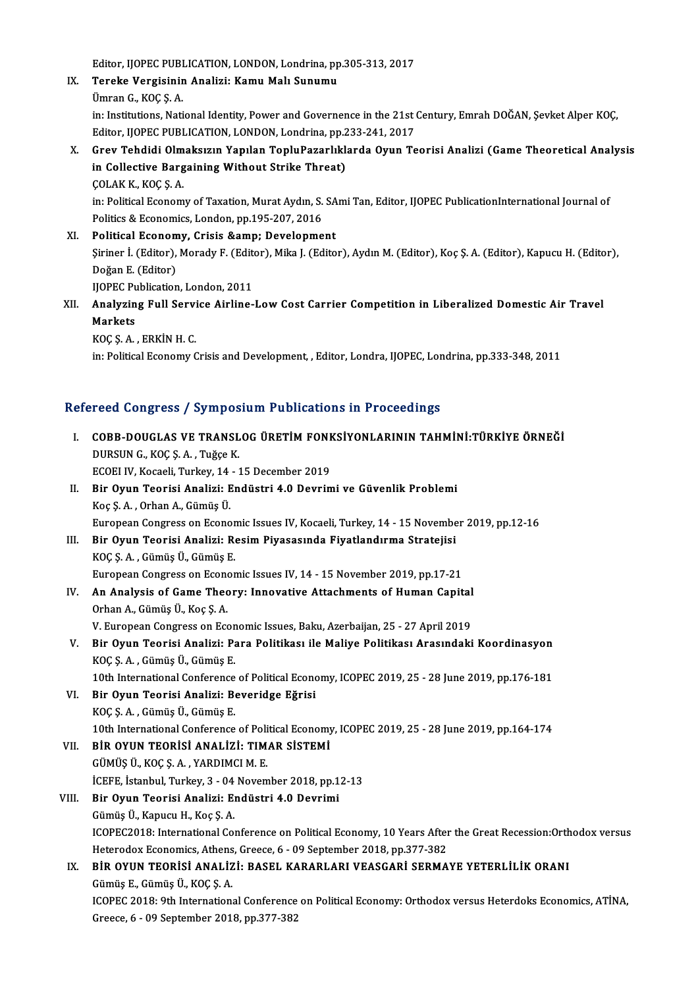Editor, IJOPEC PUBLICATION, LONDON, Londrina, pp.305-313, 2017<br>Teneke Vergisinin, Aneligi: Kemu, Mel: Sunumu, IX. Tereke Vergisinin Analizi: Kamu Malı Sunumu Editor, IJOPEC PUBI<br>Tereke Vergisinir<br>Ümran G., KOÇ Ş. A.<br>in: Institutions Nati in: Institutions, National Identity, Power and Governence in the 21st Century, Emrah DOĞAN, Şevket Alper KOÇ, Ümran G., KOÇ Ş. A.<br>in: Institutions, National Identity, Power and Governence in the 21st (<br>Editor, IJOPEC PUBLICATION, LONDON, Londrina, pp.233-241, 2017<br>Croy Tehdidi Olmaksızın Yapılan TenluBararlıklarda Oyun Te X. Grev Tehdidi Olmaksızın Yapılan TopluPazarlıklarda Oyun Teorisi Analizi (Game Theoretical Analysis Editor, IJOPEC PUBLICATION, LONDON, Londrina, pp.2<br>Grev Tehdidi Olmaksızın Yapılan TopluPazarlıklı<br>in Collective Bargaining Without Strike Threat)<br>COLAK K. KOC S.A in Collective Bargaining Without Strike Threat)<br>COLAK K., KOÇ Ş. A. in: Collective Bargaining Without Strike Threat)<br>COLAK K., KOÇ Ş. A.<br>in: Political Economy of Taxation, Murat Aydın, S. SAmi Tan, Editor, IJOPEC PublicationInternational Journal of<br>Politics & Economics, London, nn 195, 207 COLAK K., KOÇ Ş. A.<br>in: Political Economy of Taxation, Murat Aydın, S.<br>Politics & Economics, London, pp.195-207, 2016<br>Political Esonomy, Crisis &amnı, Davalanma in: Political Economy of Taxation, Murat Aydın, S. SA<br>Politics & Economics, London, pp.195-207, 2016<br>XI. Political Economy, Crisis & amp; Development<br>Sirinar <sup>I</sup>. (Editor), Maradu E. (Editor), Mika I. (Edito Politics & Economics, London, pp.195-207, 2016<br>Political Economy, Crisis &amp; Development<br>Şiriner İ. (Editor), Morady F. (Editor), Mika J. (Editor), Aydın M. (Editor), Koç Ş. A. (Editor), Kapucu H. (Editor),<br>Doğan E. (Edi Political Econom<br>Șiriner İ. (Editor),<br>Doğan E. (Editor)<br>HOPEC Publication IJOPEC Publication, London, 2011 Doğan E. (Editor)<br>IJOPEC Publication, London, 2011<br>XII. Analyzing Full Service Airline-Low Cost Carrier Competition in Liberalized Domestic Air Travel<br>Markets

**IJOPEC Pu<br>Analyzin<br>Markets<br>KOC S.A** Analyzing Full Servi<br>Markets<br>KOÇ Ş. A. , ERKİN H. C.<br>in: Political Feanamu ( Markets<br>KOÇ Ş. A. , ERKİN H. C.<br>in: Political Economy Crisis and Development, , Editor, Londra, IJOPEC, Londrina, pp.333-348, 2011

# m: Political Economy Crisis and Development, , Editor, Londra, IJOPEC, Londra<br>Refereed Congress / Symposium Publications in Proceedings

| Refereed Congress / Symposium Publications in Proceedings |                                                                                                                |
|-----------------------------------------------------------|----------------------------------------------------------------------------------------------------------------|
| L.                                                        | COBB-DOUGLAS VE TRANSLOG ÜRETIM FONKSIYONLARININ TAHMINI:TÜRKIYE ÖRNEĞİ                                        |
|                                                           | DURSUN G., KOÇ Ş. A., Tuğçe K.                                                                                 |
|                                                           | ECOEI IV, Kocaeli, Turkey, 14 - 15 December 2019                                                               |
| Н.                                                        | Bir Oyun Teorisi Analizi: Endüstri 4.0 Devrimi ve Güvenlik Problemi                                            |
|                                                           | Koç Ş. A., Orhan A., Gümüş Ü.                                                                                  |
|                                                           | European Congress on Economic Issues IV, Kocaeli, Turkey, 14 - 15 November 2019, pp.12-16                      |
| III.                                                      | Bir Oyun Teorisi Analizi: Resim Piyasasında Fiyatlandırma Stratejisi                                           |
|                                                           | KOÇ Ş. A., Gümüş Ü., Gümüş E.                                                                                  |
|                                                           | European Congress on Economic Issues IV, 14 - 15 November 2019, pp 17-21                                       |
| IV.                                                       | An Analysis of Game Theory: Innovative Attachments of Human Capital                                            |
|                                                           | Orhan A., Gümüş Ü., Koç Ş. A.                                                                                  |
|                                                           | V. European Congress on Economic Issues, Baku, Azerbaijan, 25 - 27 April 2019                                  |
| V.                                                        | Bir Oyun Teorisi Analizi: Para Politikası ile Maliye Politikası Arasındaki Koordinasyon                        |
|                                                           | KOÇ Ş. A., Gümüş Ü., Gümüş E.                                                                                  |
|                                                           | 10th International Conference of Political Economy, ICOPEC 2019, 25 - 28 June 2019, pp.176-181                 |
| VI.                                                       | Bir Oyun Teorisi Analizi: Beveridge Eğrisi                                                                     |
|                                                           | KOÇ Ş. A., Gümüş Ü., Gümüş E.                                                                                  |
|                                                           | 10th International Conference of Political Economy, ICOPEC 2019, 25 - 28 June 2019, pp.164-174                 |
| VII.                                                      | BİR OYUN TEORİSİ ANALİZİ: TIMAR SİSTEMİ                                                                        |
|                                                           | GÜMÜŞ Ü., KOÇ Ş. A., YARDIMCI M. E.                                                                            |
|                                                           | İCEFE, İstanbul, Turkey, 3 - 04 November 2018, pp.12-13                                                        |
| VIII.                                                     | Bir Oyun Teorisi Analizi: Endüstri 4.0 Devrimi                                                                 |
|                                                           | Gümüş Ü., Kapucu H., Koç Ş. A.                                                                                 |
|                                                           | ICOPEC2018: International Conference on Political Economy, 10 Years After the Great Recession: Orthodox versus |
|                                                           | Heterodox Economics, Athens, Greece, 6 - 09 September 2018, pp.377-382                                         |
| IX.                                                       | BİR OYUN TEORİSİ ANALIZI: BASEL KARARLARI VEASGARİ SERMAYE YETERLİLİK ORANI                                    |
|                                                           | Gümüş E, Gümüş Ü, KOÇ Ş. A.                                                                                    |
|                                                           | ICOPEC 2018: 9th International Conference on Political Economy: Orthodox versus Heterdoks Economics, ATİNA,    |
|                                                           | Greece, 6 - 09 September 2018, pp 377-382                                                                      |
|                                                           |                                                                                                                |